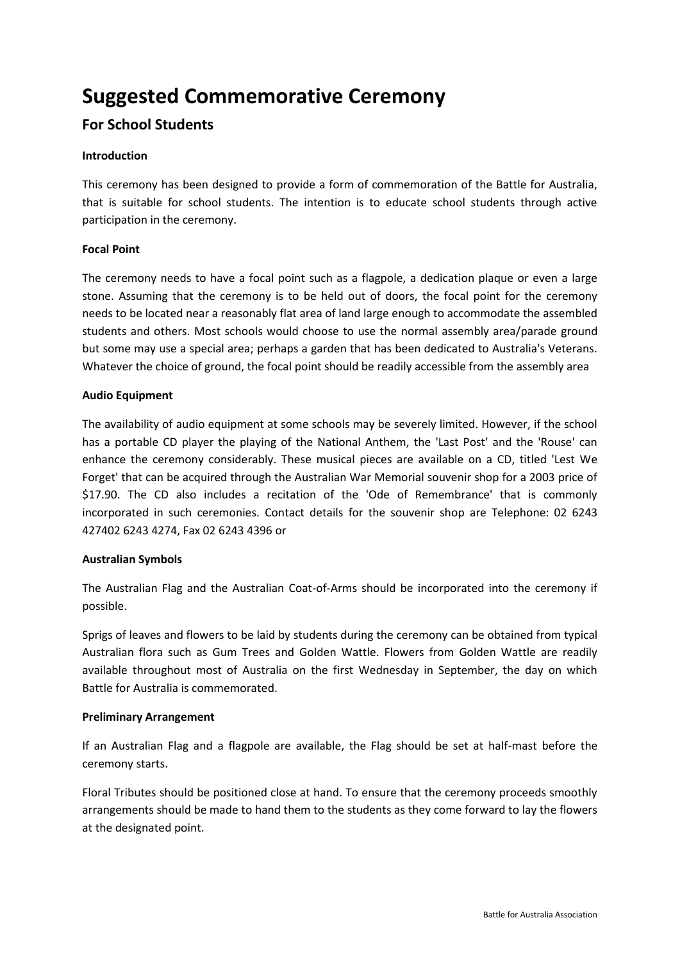# **Suggested Commemorative Ceremony**

# **For School Students**

# **Introduction**

This ceremony has been designed to provide a form of commemoration of the Battle for Australia, that is suitable for school students. The intention is to educate school students through active participation in the ceremony.

# **Focal Point**

The ceremony needs to have a focal point such as a flagpole, a dedication plaque or even a large stone. Assuming that the ceremony is to be held out of doors, the focal point for the ceremony needs to be located near a reasonably flat area of land large enough to accommodate the assembled students and others. Most schools would choose to use the normal assembly area/parade ground but some may use a special area; perhaps a garden that has been dedicated to Australia's Veterans. Whatever the choice of ground, the focal point should be readily accessible from the assembly area

# **Audio Equipment**

The availability of audio equipment at some schools may be severely limited. However, if the school has a portable CD player the playing of the National Anthem, the 'Last Post' and the 'Rouse' can enhance the ceremony considerably. These musical pieces are available on a CD, titled 'Lest We Forget' that can be acquired through the Australian War Memorial souvenir shop for a 2003 price of \$17.90. The CD also includes a recitation of the 'Ode of Remembrance' that is commonly incorporated in such ceremonies. Contact details for the souvenir shop are Telephone: 02 6243 427402 6243 4274, Fax 02 6243 4396 or

# **Australian Symbols**

The Australian Flag and the Australian Coat-of-Arms should be incorporated into the ceremony if possible.

Sprigs of leaves and flowers to be laid by students during the ceremony can be obtained from typical Australian flora such as Gum Trees and Golden Wattle. Flowers from Golden Wattle are readily available throughout most of Australia on the first Wednesday in September, the day on which Battle for Australia is commemorated.

# **Preliminary Arrangement**

If an Australian Flag and a flagpole are available, the Flag should be set at half-mast before the ceremony starts.

Floral Tributes should be positioned close at hand. To ensure that the ceremony proceeds smoothly arrangements should be made to hand them to the students as they come forward to lay the flowers at the designated point.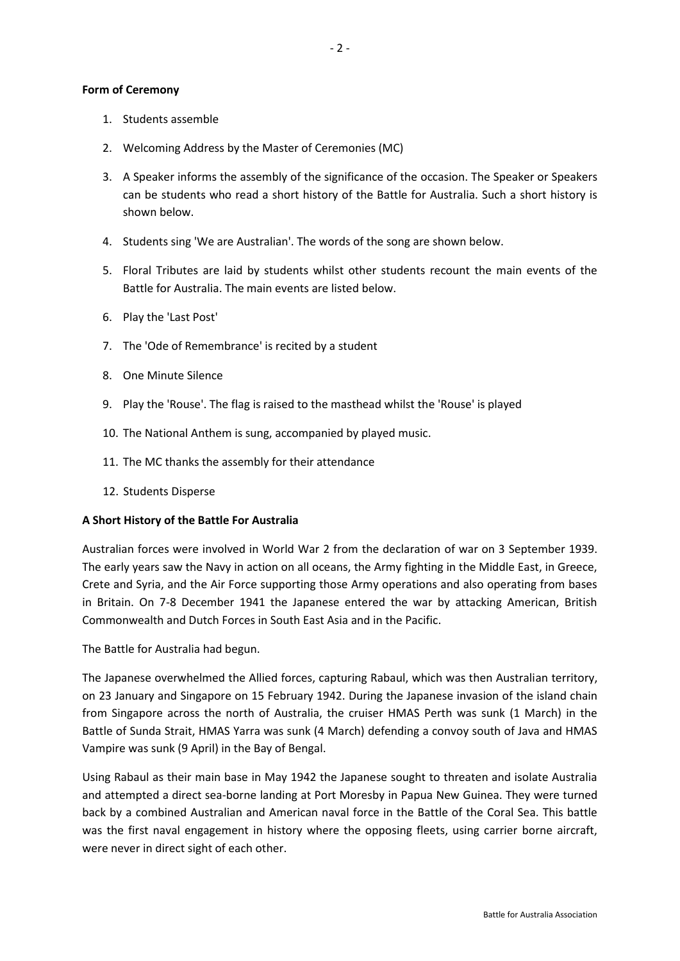## **Form of Ceremony**

- 1. Students assemble
- 2. Welcoming Address by the Master of Ceremonies (MC)
- 3. A Speaker informs the assembly of the significance of the occasion. The Speaker or Speakers can be students who read a short history of the Battle for Australia. Such a short history is shown below.
- 4. Students sing 'We are Australian'. The words of the song are shown below.
- 5. Floral Tributes are laid by students whilst other students recount the main events of the Battle for Australia. The main events are listed below.
- 6. Play the 'Last Post'
- 7. The 'Ode of Remembrance' is recited by a student
- 8. One Minute Silence
- 9. Play the 'Rouse'. The flag is raised to the masthead whilst the 'Rouse' is played
- 10. The National Anthem is sung, accompanied by played music.
- 11. The MC thanks the assembly for their attendance
- 12. Students Disperse

# **A Short History of the Battle For Australia**

Australian forces were involved in World War 2 from the declaration of war on 3 September 1939. The early years saw the Navy in action on all oceans, the Army fighting in the Middle East, in Greece, Crete and Syria, and the Air Force supporting those Army operations and also operating from bases in Britain. On 7-8 December 1941 the Japanese entered the war by attacking American, British Commonwealth and Dutch Forces in South East Asia and in the Pacific.

The Battle for Australia had begun.

The Japanese overwhelmed the Allied forces, capturing Rabaul, which was then Australian territory, on 23 January and Singapore on 15 February 1942. During the Japanese invasion of the island chain from Singapore across the north of Australia, the cruiser HMAS Perth was sunk (1 March) in the Battle of Sunda Strait, HMAS Yarra was sunk (4 March) defending a convoy south of Java and HMAS Vampire was sunk (9 April) in the Bay of Bengal.

Using Rabaul as their main base in May 1942 the Japanese sought to threaten and isolate Australia and attempted a direct sea-borne landing at Port Moresby in Papua New Guinea. They were turned back by a combined Australian and American naval force in the Battle of the Coral Sea. This battle was the first naval engagement in history where the opposing fleets, using carrier borne aircraft, were never in direct sight of each other.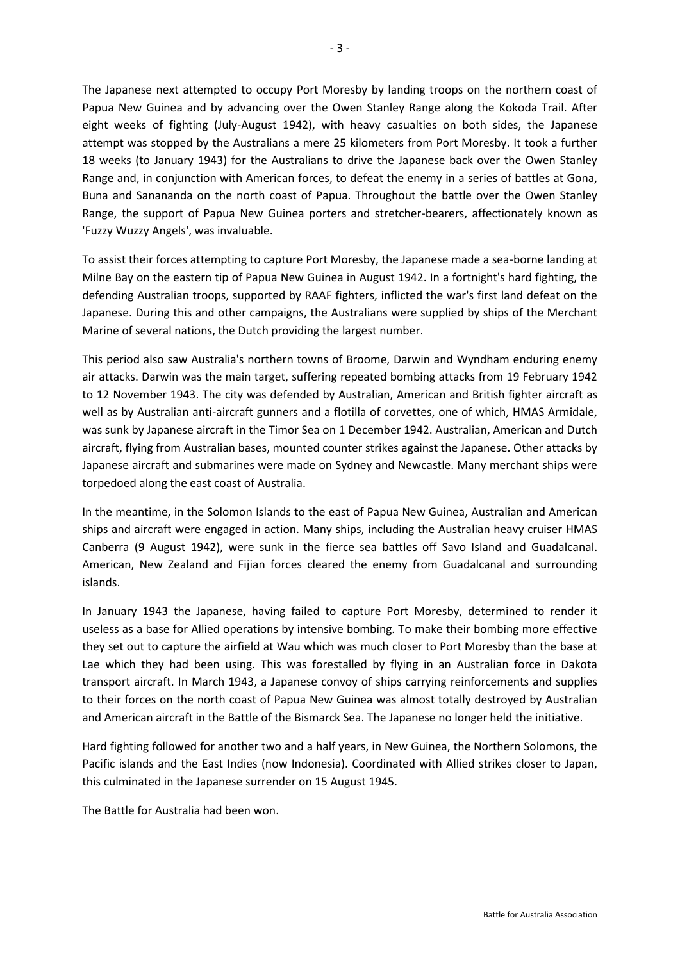The Japanese next attempted to occupy Port Moresby by landing troops on the northern coast of Papua New Guinea and by advancing over the Owen Stanley Range along the Kokoda Trail. After eight weeks of fighting (July-August 1942), with heavy casualties on both sides, the Japanese attempt was stopped by the Australians a mere 25 kilometers from Port Moresby. It took a further 18 weeks (to January 1943) for the Australians to drive the Japanese back over the Owen Stanley Range and, in conjunction with American forces, to defeat the enemy in a series of battles at Gona, Buna and Sanananda on the north coast of Papua. Throughout the battle over the Owen Stanley Range, the support of Papua New Guinea porters and stretcher-bearers, affectionately known as 'Fuzzy Wuzzy Angels', was invaluable.

To assist their forces attempting to capture Port Moresby, the Japanese made a sea-borne landing at Milne Bay on the eastern tip of Papua New Guinea in August 1942. In a fortnight's hard fighting, the defending Australian troops, supported by RAAF fighters, inflicted the war's first land defeat on the Japanese. During this and other campaigns, the Australians were supplied by ships of the Merchant Marine of several nations, the Dutch providing the largest number.

This period also saw Australia's northern towns of Broome, Darwin and Wyndham enduring enemy air attacks. Darwin was the main target, suffering repeated bombing attacks from 19 February 1942 to 12 November 1943. The city was defended by Australian, American and British fighter aircraft as well as by Australian anti-aircraft gunners and a flotilla of corvettes, one of which, HMAS Armidale, was sunk by Japanese aircraft in the Timor Sea on 1 December 1942. Australian, American and Dutch aircraft, flying from Australian bases, mounted counter strikes against the Japanese. Other attacks by Japanese aircraft and submarines were made on Sydney and Newcastle. Many merchant ships were torpedoed along the east coast of Australia.

In the meantime, in the Solomon Islands to the east of Papua New Guinea, Australian and American ships and aircraft were engaged in action. Many ships, including the Australian heavy cruiser HMAS Canberra (9 August 1942), were sunk in the fierce sea battles off Savo Island and Guadalcanal. American, New Zealand and Fijian forces cleared the enemy from Guadalcanal and surrounding islands.

In January 1943 the Japanese, having failed to capture Port Moresby, determined to render it useless as a base for Allied operations by intensive bombing. To make their bombing more effective they set out to capture the airfield at Wau which was much closer to Port Moresby than the base at Lae which they had been using. This was forestalled by flying in an Australian force in Dakota transport aircraft. In March 1943, a Japanese convoy of ships carrying reinforcements and supplies to their forces on the north coast of Papua New Guinea was almost totally destroyed by Australian and American aircraft in the Battle of the Bismarck Sea. The Japanese no longer held the initiative.

Hard fighting followed for another two and a half years, in New Guinea, the Northern Solomons, the Pacific islands and the East Indies (now Indonesia). Coordinated with Allied strikes closer to Japan, this culminated in the Japanese surrender on 15 August 1945.

The Battle for Australia had been won.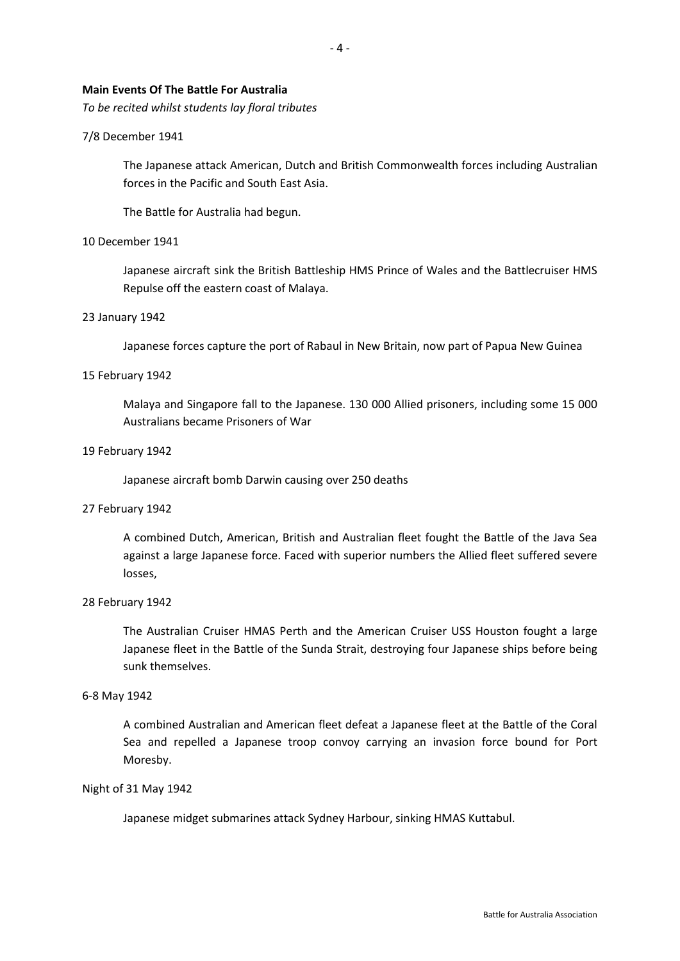## **Main Events Of The Battle For Australia**

*To be recited whilst students lay floral tributes*

## 7/8 December 1941

The Japanese attack American, Dutch and British Commonwealth forces including Australian forces in the Pacific and South East Asia.

The Battle for Australia had begun.

#### 10 December 1941

Japanese aircraft sink the British Battleship HMS Prince of Wales and the Battlecruiser HMS Repulse off the eastern coast of Malaya.

#### 23 January 1942

Japanese forces capture the port of Rabaul in New Britain, now part of Papua New Guinea

#### 15 February 1942

Malaya and Singapore fall to the Japanese. 130 000 Allied prisoners, including some 15 000 Australians became Prisoners of War

#### 19 February 1942

Japanese aircraft bomb Darwin causing over 250 deaths

#### 27 February 1942

A combined Dutch, American, British and Australian fleet fought the Battle of the Java Sea against a large Japanese force. Faced with superior numbers the Allied fleet suffered severe losses,

## 28 February 1942

The Australian Cruiser HMAS Perth and the American Cruiser USS Houston fought a large Japanese fleet in the Battle of the Sunda Strait, destroying four Japanese ships before being sunk themselves.

#### 6-8 May 1942

A combined Australian and American fleet defeat a Japanese fleet at the Battle of the Coral Sea and repelled a Japanese troop convoy carrying an invasion force bound for Port Moresby.

#### Night of 31 May 1942

Japanese midget submarines attack Sydney Harbour, sinking HMAS Kuttabul.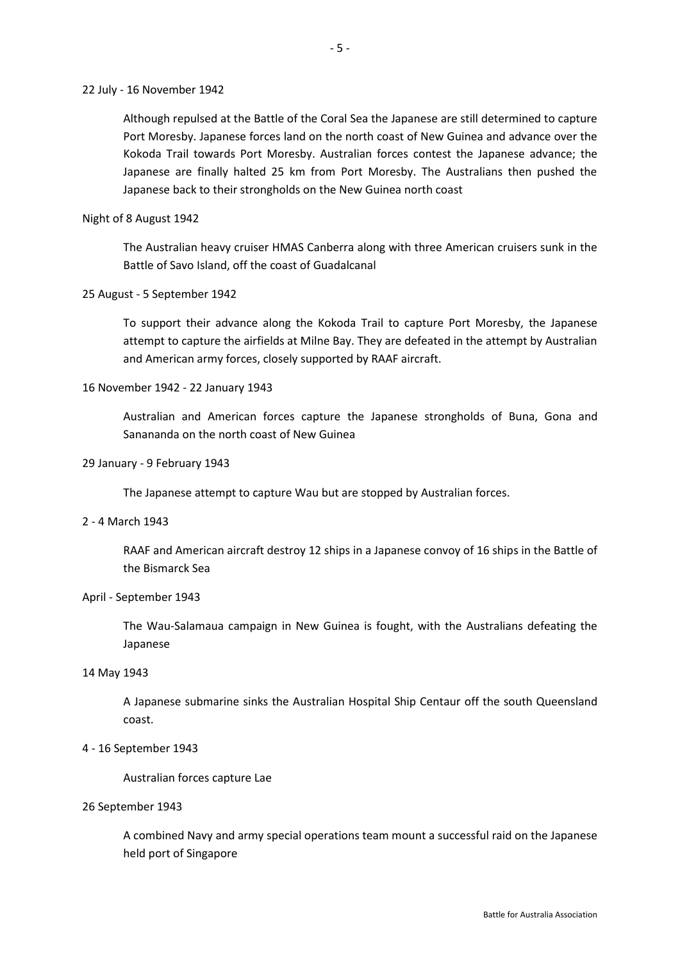#### 22 July - 16 November 1942

Although repulsed at the Battle of the Coral Sea the Japanese are still determined to capture Port Moresby. Japanese forces land on the north coast of New Guinea and advance over the Kokoda Trail towards Port Moresby. Australian forces contest the Japanese advance; the Japanese are finally halted 25 km from Port Moresby. The Australians then pushed the Japanese back to their strongholds on the New Guinea north coast

## Night of 8 August 1942

The Australian heavy cruiser HMAS Canberra along with three American cruisers sunk in the Battle of Savo Island, off the coast of Guadalcanal

#### 25 August - 5 September 1942

To support their advance along the Kokoda Trail to capture Port Moresby, the Japanese attempt to capture the airfields at Milne Bay. They are defeated in the attempt by Australian and American army forces, closely supported by RAAF aircraft.

#### 16 November 1942 - 22 January 1943

Australian and American forces capture the Japanese strongholds of Buna, Gona and Sanananda on the north coast of New Guinea

#### 29 January - 9 February 1943

The Japanese attempt to capture Wau but are stopped by Australian forces.

## 2 - 4 March 1943

RAAF and American aircraft destroy 12 ships in a Japanese convoy of 16 ships in the Battle of the Bismarck Sea

#### April - September 1943

The Wau-Salamaua campaign in New Guinea is fought, with the Australians defeating the Japanese

#### 14 May 1943

A Japanese submarine sinks the Australian Hospital Ship Centaur off the south Queensland coast.

#### 4 - 16 September 1943

Australian forces capture Lae

#### 26 September 1943

A combined Navy and army special operations team mount a successful raid on the Japanese held port of Singapore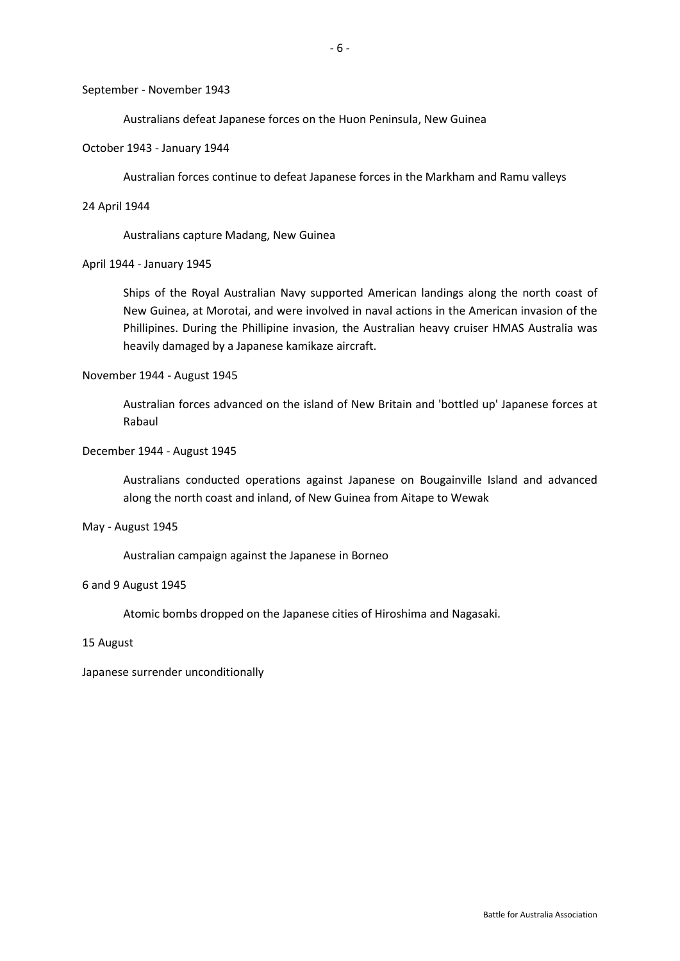#### September - November 1943

Australians defeat Japanese forces on the Huon Peninsula, New Guinea

#### October 1943 - January 1944

Australian forces continue to defeat Japanese forces in the Markham and Ramu valleys

#### 24 April 1944

Australians capture Madang, New Guinea

#### April 1944 - January 1945

Ships of the Royal Australian Navy supported American landings along the north coast of New Guinea, at Morotai, and were involved in naval actions in the American invasion of the Phillipines. During the Phillipine invasion, the Australian heavy cruiser HMAS Australia was heavily damaged by a Japanese kamikaze aircraft.

#### November 1944 - August 1945

Australian forces advanced on the island of New Britain and 'bottled up' Japanese forces at Rabaul

#### December 1944 - August 1945

Australians conducted operations against Japanese on Bougainville Island and advanced along the north coast and inland, of New Guinea from Aitape to Wewak

#### May - August 1945

Australian campaign against the Japanese in Borneo

#### 6 and 9 August 1945

Atomic bombs dropped on the Japanese cities of Hiroshima and Nagasaki.

#### 15 August

Japanese surrender unconditionally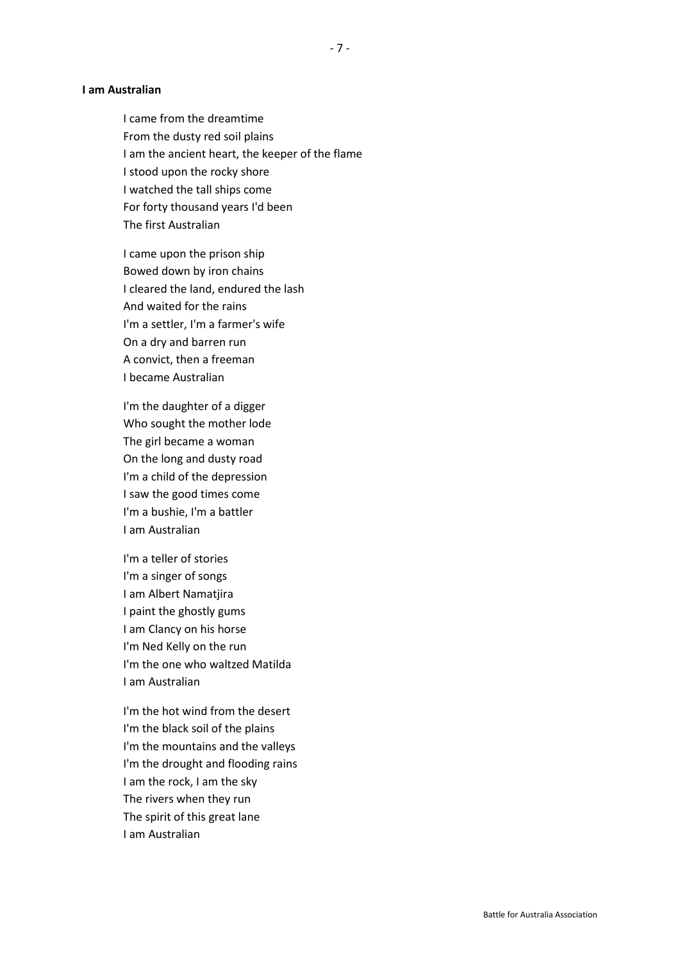#### **I am Australian**

I came from the dreamtime From the dusty red soil plains I am the ancient heart, the keeper of the flame I stood upon the rocky shore I watched the tall ships come For forty thousand years I'd been The first Australian

I came upon the prison ship Bowed down by iron chains I cleared the land, endured the lash And waited for the rains I'm a settler, I'm a farmer's wife On a dry and barren run A convict, then a freeman I became Australian

I'm the daughter of a digger Who sought the mother lode The girl became a woman On the long and dusty road I'm a child of the depression I saw the good times come I'm a bushie, I'm a battler I am Australian

I'm a teller of stories I'm a singer of songs I am Albert Namatjira I paint the ghostly gums I am Clancy on his horse I'm Ned Kelly on the run I'm the one who waltzed Matilda I am Australian

I'm the hot wind from the desert I'm the black soil of the plains I'm the mountains and the valleys I'm the drought and flooding rains I am the rock, I am the sky The rivers when they run The spirit of this great lane I am Australian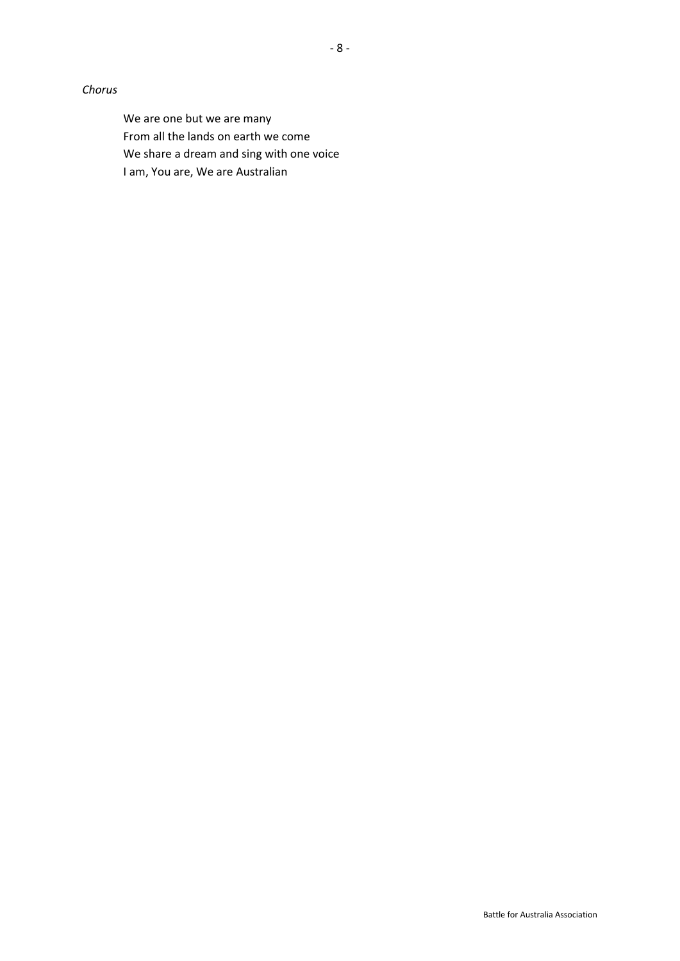*Chorus*

We are one but we are many From all the lands on earth we come We share a dream and sing with one voice I am, You are, We are Australian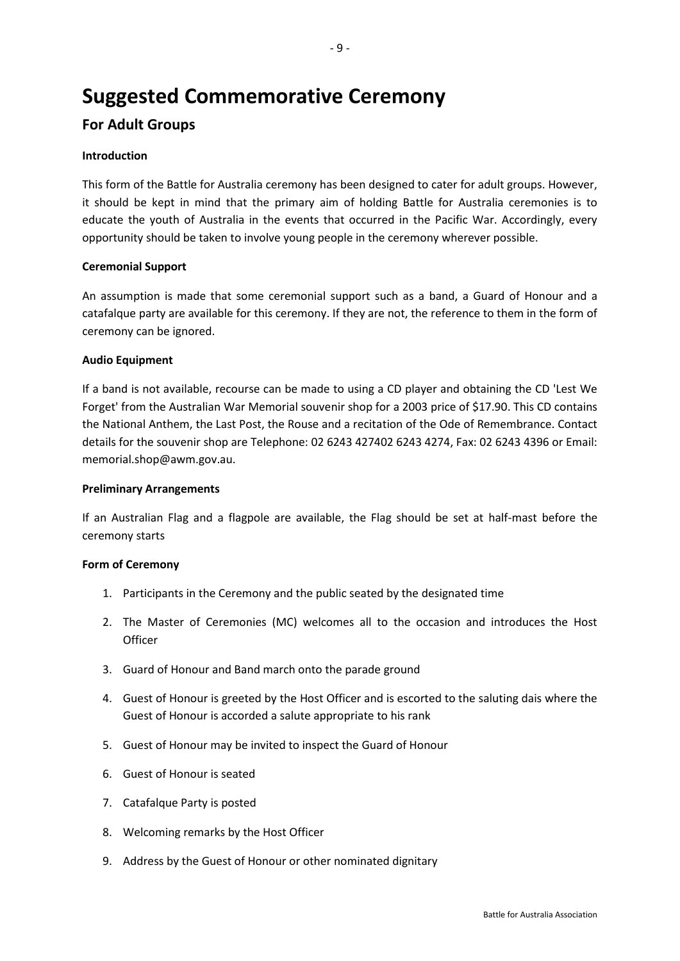# **Suggested Commemorative Ceremony**

# **For Adult Groups**

# **Introduction**

This form of the Battle for Australia ceremony has been designed to cater for adult groups. However, it should be kept in mind that the primary aim of holding Battle for Australia ceremonies is to educate the youth of Australia in the events that occurred in the Pacific War. Accordingly, every opportunity should be taken to involve young people in the ceremony wherever possible.

# **Ceremonial Support**

An assumption is made that some ceremonial support such as a band, a Guard of Honour and a catafalque party are available for this ceremony. If they are not, the reference to them in the form of ceremony can be ignored.

# **Audio Equipment**

If a band is not available, recourse can be made to using a CD player and obtaining the CD 'Lest We Forget' from the Australian War Memorial souvenir shop for a 2003 price of \$17.90. This CD contains the National Anthem, the Last Post, the Rouse and a recitation of the Ode of Remembrance. Contact details for the souvenir shop are Telephone: 02 6243 427402 6243 4274, Fax: 02 6243 4396 or Email: memorial.shop@awm.gov.au.

# **Preliminary Arrangements**

If an Australian Flag and a flagpole are available, the Flag should be set at half-mast before the ceremony starts

# **Form of Ceremony**

- 1. Participants in the Ceremony and the public seated by the designated time
- 2. The Master of Ceremonies (MC) welcomes all to the occasion and introduces the Host **Officer**
- 3. Guard of Honour and Band march onto the parade ground
- 4. Guest of Honour is greeted by the Host Officer and is escorted to the saluting dais where the Guest of Honour is accorded a salute appropriate to his rank
- 5. Guest of Honour may be invited to inspect the Guard of Honour
- 6. Guest of Honour is seated
- 7. Catafalque Party is posted
- 8. Welcoming remarks by the Host Officer
- 9. Address by the Guest of Honour or other nominated dignitary